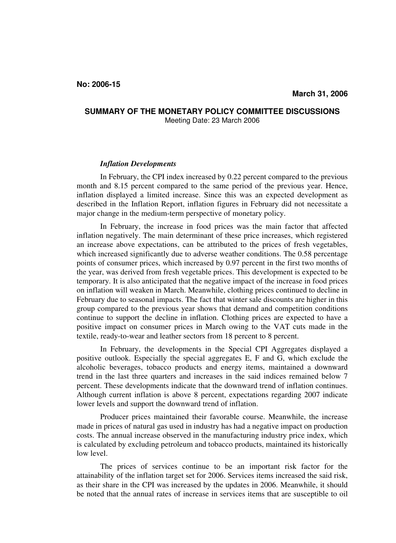## **SUMMARY OF THE MONETARY POLICY COMMITTEE DISCUSSIONS**  Meeting Date: 23 March 2006

## *Inflation Developments*

In February, the CPI index increased by 0.22 percent compared to the previous month and 8.15 percent compared to the same period of the previous year. Hence, inflation displayed a limited increase. Since this was an expected development as described in the Inflation Report, inflation figures in February did not necessitate a major change in the medium-term perspective of monetary policy.

In February, the increase in food prices was the main factor that affected inflation negatively. The main determinant of these price increases, which registered an increase above expectations, can be attributed to the prices of fresh vegetables, which increased significantly due to adverse weather conditions. The 0.58 percentage points of consumer prices, which increased by 0.97 percent in the first two months of the year, was derived from fresh vegetable prices. This development is expected to be temporary. It is also anticipated that the negative impact of the increase in food prices on inflation will weaken in March. Meanwhile, clothing prices continued to decline in February due to seasonal impacts. The fact that winter sale discounts are higher in this group compared to the previous year shows that demand and competition conditions continue to support the decline in inflation. Clothing prices are expected to have a positive impact on consumer prices in March owing to the VAT cuts made in the textile, ready-to-wear and leather sectors from 18 percent to 8 percent.

In February, the developments in the Special CPI Aggregates displayed a positive outlook. Especially the special aggregates E, F and G, which exclude the alcoholic beverages, tobacco products and energy items, maintained a downward trend in the last three quarters and increases in the said indices remained below 7 percent. These developments indicate that the downward trend of inflation continues. Although current inflation is above 8 percent, expectations regarding 2007 indicate lower levels and support the downward trend of inflation.

Producer prices maintained their favorable course. Meanwhile, the increase made in prices of natural gas used in industry has had a negative impact on production costs. The annual increase observed in the manufacturing industry price index, which is calculated by excluding petroleum and tobacco products, maintained its historically low level.

The prices of services continue to be an important risk factor for the attainability of the inflation target set for 2006. Services items increased the said risk, as their share in the CPI was increased by the updates in 2006. Meanwhile, it should be noted that the annual rates of increase in services items that are susceptible to oil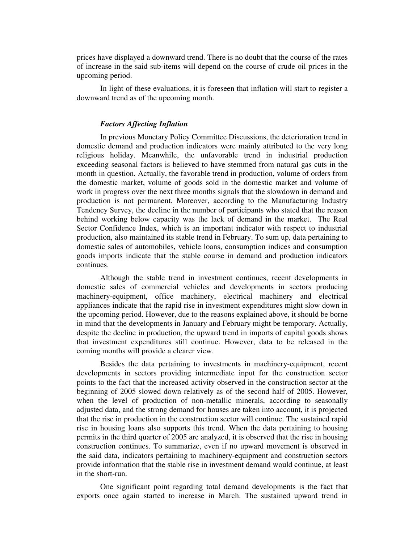prices have displayed a downward trend. There is no doubt that the course of the rates of increase in the said sub-items will depend on the course of crude oil prices in the upcoming period.

In light of these evaluations, it is foreseen that inflation will start to register a downward trend as of the upcoming month.

## *Factors Affecting Inflation*

In previous Monetary Policy Committee Discussions, the deterioration trend in domestic demand and production indicators were mainly attributed to the very long religious holiday. Meanwhile, the unfavorable trend in industrial production exceeding seasonal factors is believed to have stemmed from natural gas cuts in the month in question. Actually, the favorable trend in production, volume of orders from the domestic market, volume of goods sold in the domestic market and volume of work in progress over the next three months signals that the slowdown in demand and production is not permanent. Moreover, according to the Manufacturing Industry Tendency Survey, the decline in the number of participants who stated that the reason behind working below capacity was the lack of demand in the market. The Real Sector Confidence Index, which is an important indicator with respect to industrial production, also maintained its stable trend in February. To sum up, data pertaining to domestic sales of automobiles, vehicle loans, consumption indices and consumption goods imports indicate that the stable course in demand and production indicators continues.

Although the stable trend in investment continues, recent developments in domestic sales of commercial vehicles and developments in sectors producing machinery-equipment, office machinery, electrical machinery and electrical appliances indicate that the rapid rise in investment expenditures might slow down in the upcoming period. However, due to the reasons explained above, it should be borne in mind that the developments in January and February might be temporary. Actually, despite the decline in production, the upward trend in imports of capital goods shows that investment expenditures still continue. However, data to be released in the coming months will provide a clearer view.

Besides the data pertaining to investments in machinery-equipment, recent developments in sectors providing intermediate input for the construction sector points to the fact that the increased activity observed in the construction sector at the beginning of 2005 slowed down relatively as of the second half of 2005. However, when the level of production of non-metallic minerals, according to seasonally adjusted data, and the strong demand for houses are taken into account, it is projected that the rise in production in the construction sector will continue. The sustained rapid rise in housing loans also supports this trend. When the data pertaining to housing permits in the third quarter of 2005 are analyzed, it is observed that the rise in housing construction continues. To summarize, even if no upward movement is observed in the said data, indicators pertaining to machinery-equipment and construction sectors provide information that the stable rise in investment demand would continue, at least in the short-run.

One significant point regarding total demand developments is the fact that exports once again started to increase in March. The sustained upward trend in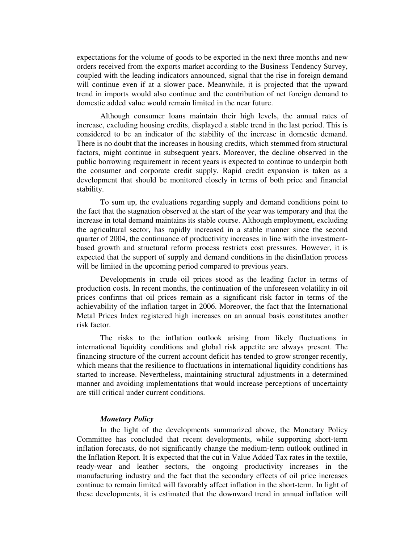expectations for the volume of goods to be exported in the next three months and new orders received from the exports market according to the Business Tendency Survey, coupled with the leading indicators announced, signal that the rise in foreign demand will continue even if at a slower pace. Meanwhile, it is projected that the upward trend in imports would also continue and the contribution of net foreign demand to domestic added value would remain limited in the near future.

Although consumer loans maintain their high levels, the annual rates of increase, excluding housing credits, displayed a stable trend in the last period. This is considered to be an indicator of the stability of the increase in domestic demand. There is no doubt that the increases in housing credits, which stemmed from structural factors, might continue in subsequent years. Moreover, the decline observed in the public borrowing requirement in recent years is expected to continue to underpin both the consumer and corporate credit supply. Rapid credit expansion is taken as a development that should be monitored closely in terms of both price and financial stability.

To sum up, the evaluations regarding supply and demand conditions point to the fact that the stagnation observed at the start of the year was temporary and that the increase in total demand maintains its stable course. Although employment, excluding the agricultural sector, has rapidly increased in a stable manner since the second quarter of 2004, the continuance of productivity increases in line with the investmentbased growth and structural reform process restricts cost pressures. However, it is expected that the support of supply and demand conditions in the disinflation process will be limited in the upcoming period compared to previous years.

 Developments in crude oil prices stood as the leading factor in terms of production costs. In recent months, the continuation of the unforeseen volatility in oil prices confirms that oil prices remain as a significant risk factor in terms of the achievability of the inflation target in 2006. Moreover, the fact that the International Metal Prices Index registered high increases on an annual basis constitutes another risk factor.

The risks to the inflation outlook arising from likely fluctuations in international liquidity conditions and global risk appetite are always present. The financing structure of the current account deficit has tended to grow stronger recently, which means that the resilience to fluctuations in international liquidity conditions has started to increase. Nevertheless, maintaining structural adjustments in a determined manner and avoiding implementations that would increase perceptions of uncertainty are still critical under current conditions.

## *Monetary Policy*

In the light of the developments summarized above, the Monetary Policy Committee has concluded that recent developments, while supporting short-term inflation forecasts, do not significantly change the medium-term outlook outlined in the Inflation Report. It is expected that the cut in Value Added Tax rates in the textile, ready-wear and leather sectors, the ongoing productivity increases in the manufacturing industry and the fact that the secondary effects of oil price increases continue to remain limited will favorably affect inflation in the short-term. In light of these developments, it is estimated that the downward trend in annual inflation will